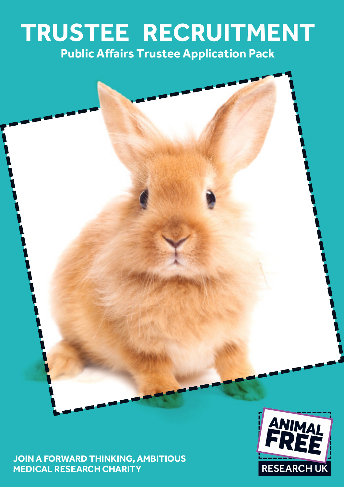# **TRUSTEE RECRUITMENT Public Affairs Trustee Application Pack**

**JOIN A FORWARD THINKING, AMBITIOUS MEDICAL RESEARCH CHARITY**

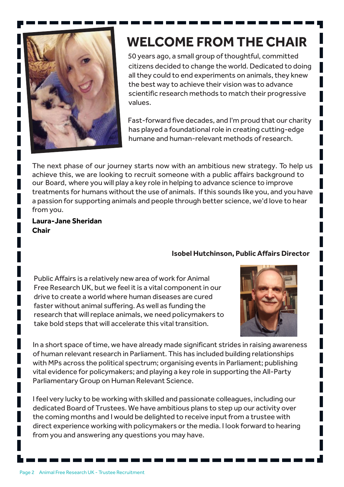

# **WELCOME FROM THE CHAIR**

50 years ago, a small group of thoughtful, committed citizens decided to change the world. Dedicated to doing all they could to end experiments on animals, they knew the best way to achieve their vision was to advance scientific research methods to match their progressive values.

Fast-forward five decades, and I'm proud that our charity has played a foundational role in creating cutting-edge humane and human-relevant methods of research.

The next phase of our journey starts now with an ambitious new strategy. To help us achieve this, we are looking to recruit someone with a public affairs background to our Board, where you will play a key role in helping to advance science to improve treatments for humans without the use of animals. If this sounds like you, and you have a passion for supporting animals and people through better science, we'd love to hear from you.

#### **Laura-Jane Sheridan Chair**

#### **Isobel Hutchinson, Public Affairs Director**

Public Affairs is a relatively new area of work for Animal Free Research UK, but we feel it is a vital component in our drive to create a world where human diseases are cured faster without animal suffering. As well as funding the research that will replace animals, we need policymakers to take bold steps that will accelerate this vital transition.



In a short space of time, we have already made significant strides in raising awareness of human relevant research in Parliament. This has included building relationships with MPs across the political spectrum; organising events in Parliament; publishing vital evidence for policymakers; and playing a key role in supporting the All-Party Parliamentary Group on Human Relevant Science.

I feel very lucky to be working with skilled and passionate colleagues, including our dedicated Board of Trustees. We have ambitious plans to step up our activity over the coming months and I would be delighted to receive input from a trustee with direct experience working with policymakers or the media. I look forward to hearing from you and answering any questions you may have.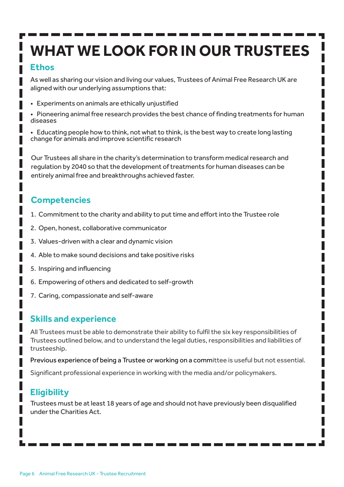# **WHAT WE LOOK FOR IN OUR TRUSTEES**

### **Ethos**

As well as sharing our vision and living our values, Trustees of Animal Free Research UK are aligned with our underlying assumptions that:

- Experiments on animals are ethically unjustified
- Pioneering animal free research provides the best chance of finding treatments for human diseases
- Educating people how to think, not what to think, is the best way to create long lasting change for animals and improve scientific research

Our Trustees all share in the charity's determination to transform medical research and regulation by 2040 so that the development of treatments for human diseases can be entirely animal free and breakthroughs achieved faster.

### **Competencies**

- 1. Commitment to the charity and ability to put time and effort into the Trustee role
- 2. Open, honest, collaborative communicator
- 3. Values-driven with a clear and dynamic vision
- 4. Able to make sound decisions and take positive risks
- 5. Inspiring and influencing
- 6. Empowering of others and dedicated to self-growth
- 7. Caring, compassionate and self-aware

### **Skills and experience**

All Trustees must be able to demonstrate their ability to fulfil the six key responsibilities of Trustees outlined below, and to understand the legal duties, responsibilities and liabilities of trusteeship.

Previous experience of being a Trustee or working on a committee is useful but not essential.

Significant professional experience in working with the media and/or policymakers.

## **Eligibility**

Trustees must be at least 18 years of age and should not have previously been disqualified under the Charities Act.